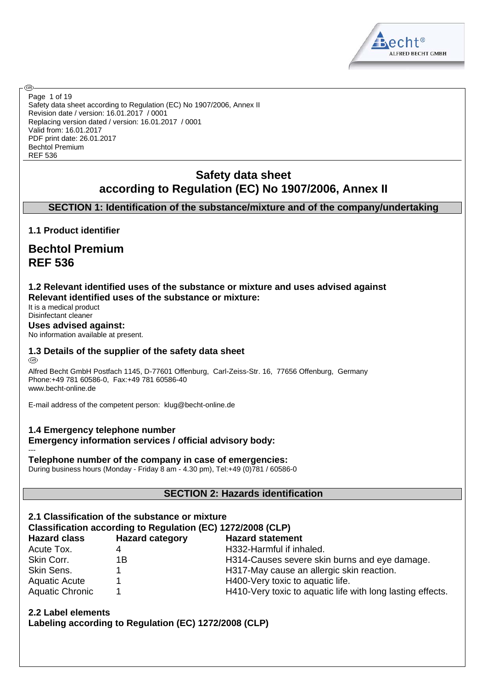

Safety data sheet according to Regulation (EC) No 1907/2006, Annex II Revision date / version: 16.01.2017 / 0001 Replacing version dated / version: 16.01.2017 / 0001 Valid from: 16.01.2017 PDF print date: 26.01.2017 Bechtol Premium REF 536 Page 1 of 19

# **Safety data sheet according to Regulation (EC) No 1907/2006, Annex II**

# **SECTION 1: Identification of the substance/mixture and of the company/undertaking**

**1.1 Product identifier**

ඹ

# **Bechtol Premium REF 536**

#### **1.2 Relevant identified uses of the substance or mixture and uses advised against Relevant identified uses of the substance or mixture:**

It is a medical product Disinfectant cleaner

#### **Uses advised against:**

No information available at present.

#### **1.3 Details of the supplier of the safety data sheet** @

Alfred Becht GmbH Postfach 1145, D-77601 Offenburg, Carl-Zeiss-Str. 16, 77656 Offenburg, Germany Phone:+49 781 60586-0, Fax:+49 781 60586-40 www.becht-online.de

E-mail address of the competent person: klug@becht-online.de

#### **1.4 Emergency telephone number Emergency information services / official advisory body:** ---

#### **Telephone number of the company in case of emergencies:**

During business hours (Monday - Friday 8 am - 4.30 pm), Tel:+49 (0)781 / 60586-0

#### **SECTION 2: Hazards identification**

| 2.1 Classification of the substance or mixture<br>Classification according to Regulation (EC) 1272/2008 (CLP) |                        |                                                            |  |  |  |  |
|---------------------------------------------------------------------------------------------------------------|------------------------|------------------------------------------------------------|--|--|--|--|
| <b>Hazard class</b>                                                                                           | <b>Hazard category</b> | <b>Hazard statement</b>                                    |  |  |  |  |
| Acute Tox.                                                                                                    | 4                      | H332-Harmful if inhaled.                                   |  |  |  |  |
| Skin Corr.                                                                                                    | 1Β                     | H314-Causes severe skin burns and eye damage.              |  |  |  |  |
| Skin Sens.                                                                                                    |                        | H317-May cause an allergic skin reaction.                  |  |  |  |  |
| <b>Aquatic Acute</b>                                                                                          |                        | H400-Very toxic to aquatic life.                           |  |  |  |  |
| Aquatic Chronic                                                                                               |                        | H410-Very toxic to aquatic life with long lasting effects. |  |  |  |  |

**2.2 Label elements Labeling according to Regulation (EC) 1272/2008 (CLP)**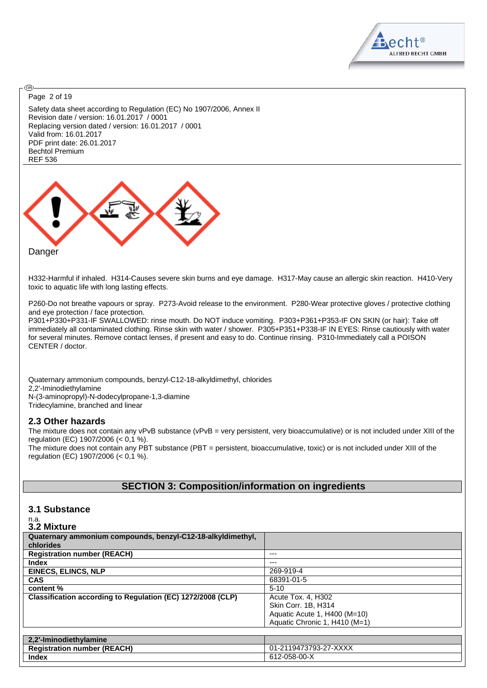

Page 2 of 19

ඹ

Safety data sheet according to Regulation (EC) No 1907/2006, Annex II Revision date / version: 16.01.2017 / 0001 Replacing version dated / version: 16.01.2017 / 0001 Valid from: 16.01.2017 PDF print date: 26.01.2017 Bechtol Premium REF 536



H332-Harmful if inhaled. H314-Causes severe skin burns and eye damage. H317-May cause an allergic skin reaction. H410-Very toxic to aquatic life with long lasting effects.

P260-Do not breathe vapours or spray. P273-Avoid release to the environment. P280-Wear protective gloves / protective clothing and eye protection / face protection.

P301+P330+P331-IF SWALLOWED: rinse mouth. Do NOT induce vomiting. P303+P361+P353-IF ON SKIN (or hair): Take off immediately all contaminated clothing. Rinse skin with water / shower. P305+P351+P338-IF IN EYES: Rinse cautiously with water for several minutes. Remove contact lenses, if present and easy to do. Continue rinsing. P310-Immediately call a POISON CENTER / doctor.

Quaternary ammonium compounds, benzyl-C12-18-alkyldimethyl, chlorides 2,2'-Iminodiethylamine N-(3-aminopropyl)-N-dodecylpropane-1,3-diamine Tridecylamine, branched and linear

#### **2.3 Other hazards**

The mixture does not contain any vPvB substance (vPvB = very persistent, very bioaccumulative) or is not included under XIII of the regulation (EC) 1907/2006 (< 0,1 %).

The mixture does not contain any PBT substance (PBT = persistent, bioaccumulative, toxic) or is not included under XIII of the regulation (EC) 1907/2006 (< 0,1 %).

#### **SECTION 3: Composition/information on ingredients**

#### **3.1 Substance**

| n.a. |             |
|------|-------------|
|      | 3.2 Mixture |

| Quaternary ammonium compounds, benzyl-C12-18-alkyldimethyl, |                               |
|-------------------------------------------------------------|-------------------------------|
| chlorides                                                   |                               |
| <b>Registration number (REACH)</b>                          | $---$                         |
| <b>Index</b>                                                | ---                           |
| <b>EINECS, ELINCS, NLP</b>                                  | 269-919-4                     |
| <b>CAS</b>                                                  | 68391-01-5                    |
| content %                                                   | $5-10$                        |
| Classification according to Regulation (EC) 1272/2008 (CLP) | Acute Tox. 4, H302            |
|                                                             | Skin Corr. 1B. H314           |
|                                                             | Aquatic Acute 1, H400 (M=10)  |
|                                                             | Aquatic Chronic 1. H410 (M=1) |
|                                                             |                               |
| 2,2'-Iminodiethylamine                                      |                               |
| <b>Registration number (REACH)</b>                          | 01-2119473793-27-XXXX         |
| <b>Index</b>                                                | 612-058-00-X                  |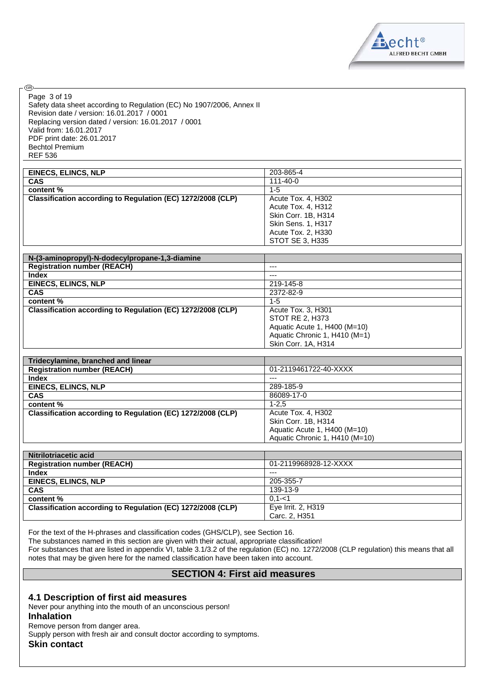

Page 3 of 19

**®** 

Safety data sheet according to Regulation (EC) No 1907/2006, Annex II Revision date / version: 16.01.2017 / 0001 Replacing version dated / version: 16.01.2017 / 0001 Valid from: 16.01.2017 PDF print date: 26.01.2017 Bechtol Premium REF 536

| <b>EINECS, ELINCS, NLP</b>                                  | 203-865-4                 |
|-------------------------------------------------------------|---------------------------|
| <b>CAS</b>                                                  | $111 - 40 - 0$            |
| content %                                                   | $1 - 5$                   |
| Classification according to Regulation (EC) 1272/2008 (CLP) | Acute Tox. 4, H302        |
|                                                             | Acute Tox. 4, H312        |
|                                                             | Skin Corr. 1B, H314       |
|                                                             | <b>Skin Sens. 1, H317</b> |
|                                                             | Acute Tox. 2, H330        |
|                                                             | STOT SE 3, H335           |

| N-(3-aminopropyl)-N-dodecylpropane-1,3-diamine              |                               |
|-------------------------------------------------------------|-------------------------------|
| <b>Registration number (REACH)</b>                          | $---$                         |
| Index                                                       | $---$                         |
| <b>EINECS, ELINCS, NLP</b>                                  | 219-145-8                     |
| <b>CAS</b>                                                  | 2372-82-9                     |
| content %                                                   | $1 - 5$                       |
| Classification according to Regulation (EC) 1272/2008 (CLP) | Acute Tox. 3, H301            |
|                                                             | STOT RE 2, H373               |
|                                                             | Aquatic Acute 1, H400 (M=10)  |
|                                                             | Aquatic Chronic 1, H410 (M=1) |
|                                                             | Skin Corr. 1A, H314           |

| Tridecylamine, branched and linear                          |                                |
|-------------------------------------------------------------|--------------------------------|
| <b>Registration number (REACH)</b>                          | 01-2119461722-40-XXXX          |
| Index                                                       | $---$                          |
| <b>EINECS, ELINCS, NLP</b>                                  | 289-185-9                      |
| <b>CAS</b>                                                  | 86089-17-0                     |
| content %                                                   | $1 - 2.5$                      |
| Classification according to Regulation (EC) 1272/2008 (CLP) | Acute Tox. 4, H302             |
|                                                             | Skin Corr. 1B. H314            |
|                                                             | Aquatic Acute 1, H400 (M=10)   |
|                                                             | Aquatic Chronic 1, H410 (M=10) |

| Nitrilotriacetic acid                                       |                       |
|-------------------------------------------------------------|-----------------------|
| <b>Registration number (REACH)</b>                          | 01-2119968928-12-XXXX |
| <b>Index</b>                                                | $--$                  |
| <b>EINECS, ELINCS, NLP</b>                                  | 205-355-7             |
| <b>CAS</b>                                                  | 139-13-9              |
| content %                                                   | $0.1 - 1$             |
| Classification according to Regulation (EC) 1272/2008 (CLP) | Eye Irrit. 2, H319    |
|                                                             | Carc. 2. H351         |

For the text of the H-phrases and classification codes (GHS/CLP), see Section 16.

The substances named in this section are given with their actual, appropriate classification!

For substances that are listed in appendix VI, table 3.1/3.2 of the regulation (EC) no. 1272/2008 (CLP regulation) this means that all notes that may be given here for the named classification have been taken into account.

#### **SECTION 4: First aid measures**

#### **4.1 Description of first aid measures**

Never pour anything into the mouth of an unconscious person! **Inhalation**

Remove person from danger area.

Supply person with fresh air and consult doctor according to symptoms.

**Skin contact**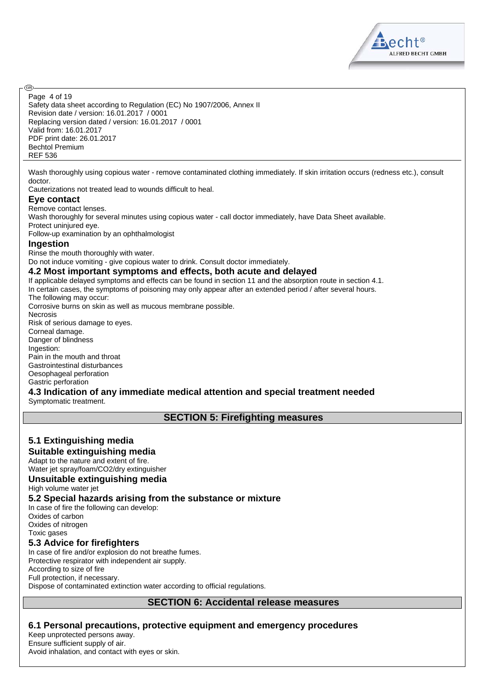

Safety data sheet according to Regulation (EC) No 1907/2006, Annex II Revision date / version: 16.01.2017 / 0001 Replacing version dated / version: 16.01.2017 / 0001 Valid from: 16.01.2017 PDF print date: 26.01.2017 Bechtol Premium REF 536 Page 4 of 19

Wash thoroughly using copious water - remove contaminated clothing immediately. If skin irritation occurs (redness etc.), consult doctor.

Cauterizations not treated lead to wounds difficult to heal.

#### **Eye contact**

<mark>ි</mark>වෙ

Remove contact lenses.

Wash thoroughly for several minutes using copious water - call doctor immediately, have Data Sheet available. Protect uninjured eye. Follow-up examination by an ophthalmologist

#### **Ingestion**

Rinse the mouth thoroughly with water.

Do not induce vomiting - give copious water to drink. Consult doctor immediately.

#### **4.2 Most important symptoms and effects, both acute and delayed**

If applicable delayed symptoms and effects can be found in section 11 and the absorption route in section 4.1. In certain cases, the symptoms of poisoning may only appear after an extended period / after several hours. The following may occur:

Corrosive burns on skin as well as mucous membrane possible.

Necrosis

Risk of serious damage to eyes. Corneal damage. Danger of blindness Ingestion: Pain in the mouth and throat Gastrointestinal disturbances Oesophageal perforation Gastric perforation

# **4.3 Indication of any immediate medical attention and special treatment needed**

Symptomatic treatment.

**SECTION 5: Firefighting measures**

# **5.1 Extinguishing media**

**Suitable extinguishing media** Adapt to the nature and extent of fire.

Water jet spray/foam/CO2/dry extinguisher

#### **Unsuitable extinguishing media**

High volume water jet

#### **5.2 Special hazards arising from the substance or mixture**

In case of fire the following can develop: Oxides of carbon Oxides of nitrogen Toxic gases

#### **5.3 Advice for firefighters**

In case of fire and/or explosion do not breathe fumes. Protective respirator with independent air supply. According to size of fire Full protection, if necessary. Dispose of contaminated extinction water according to official regulations.

#### **SECTION 6: Accidental release measures**

#### **6.1 Personal precautions, protective equipment and emergency procedures**

Keep unprotected persons away. Ensure sufficient supply of air.

Avoid inhalation, and contact with eyes or skin.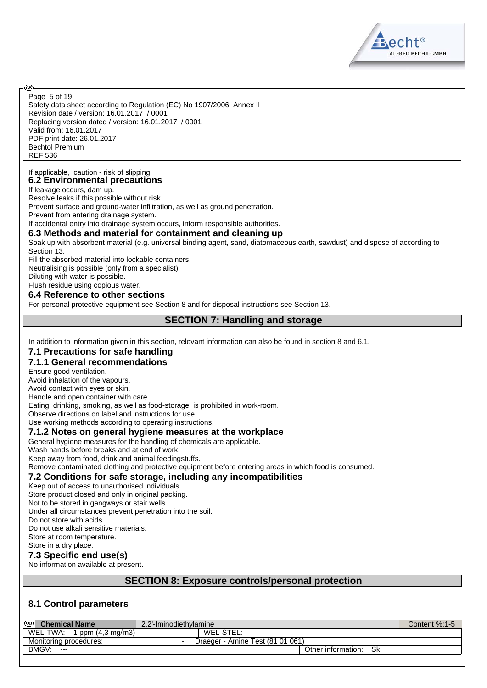$B.6cht$ <sup>®</sup> **ALFRED BECHT GMBH** 

Safety data sheet according to Regulation (EC) No 1907/2006, Annex II Revision date / version: 16.01.2017 / 0001 Replacing version dated / version: 16.01.2017 / 0001 Valid from: 16.01.2017 PDF print date: 26.01.2017 Bechtol Premium REF 536 Page 5 of 19

#### If applicable, caution - risk of slipping. **6.2 Environmental precautions**

If leakage occurs, dam up.

<mark>ි</mark>වෙ

Resolve leaks if this possible without risk.

Prevent surface and ground-water infiltration, as well as ground penetration.

Prevent from entering drainage system.

If accidental entry into drainage system occurs, inform responsible authorities.

#### **6.3 Methods and material for containment and cleaning up**

Soak up with absorbent material (e.g. universal binding agent, sand, diatomaceous earth, sawdust) and dispose of according to Section 13.

Fill the absorbed material into lockable containers.

Neutralising is possible (only from a specialist).

Diluting with water is possible.

# Flush residue using copious water.

#### **6.4 Reference to other sections**

For personal protective equipment see Section 8 and for disposal instructions see Section 13.

#### **SECTION 7: Handling and storage**

In addition to information given in this section, relevant information can also be found in section 8 and 6.1.

#### **7.1 Precautions for safe handling**

#### **7.1.1 General recommendations**

Ensure good ventilation.

Avoid inhalation of the vapours.

Avoid contact with eyes or skin.

Handle and open container with care.

Eating, drinking, smoking, as well as food-storage, is prohibited in work-room.

Observe directions on label and instructions for use.

Use working methods according to operating instructions.

#### **7.1.2 Notes on general hygiene measures at the workplace**

General hygiene measures for the handling of chemicals are applicable.

Wash hands before breaks and at end of work.

Keep away from food, drink and animal feedingstuffs.

Remove contaminated clothing and protective equipment before entering areas in which food is consumed.

#### **7.2 Conditions for safe storage, including any incompatibilities**

Keep out of access to unauthorised individuals.

Store product closed and only in original packing.

Not to be stored in gangways or stair wells.

Under all circumstances prevent penetration into the soil.

Do not store with acids.

Do not use alkali sensitive materials.

Store at room temperature.

Store in a dry place.

#### **7.3 Specific end use(s)**

No information available at present.

### **SECTION 8: Exposure controls/personal protection**

# **8.1 Control parameters**

| ை<br><b>Chemical Name</b>               | 2.2'-Iminodiethvlamine           |       | Content %:1-5 |
|-----------------------------------------|----------------------------------|-------|---------------|
| WEL-TWA:<br>1 ppm $(4,3 \text{ mg/m}3)$ | WEL-STEL.<br>$---$               | $---$ |               |
| Monitoring procedures:                  | Draeger - Amine Test (81 01 061) |       |               |
| BMGV:<br>$---$                          | Other information:               | Sk    |               |
|                                         |                                  |       |               |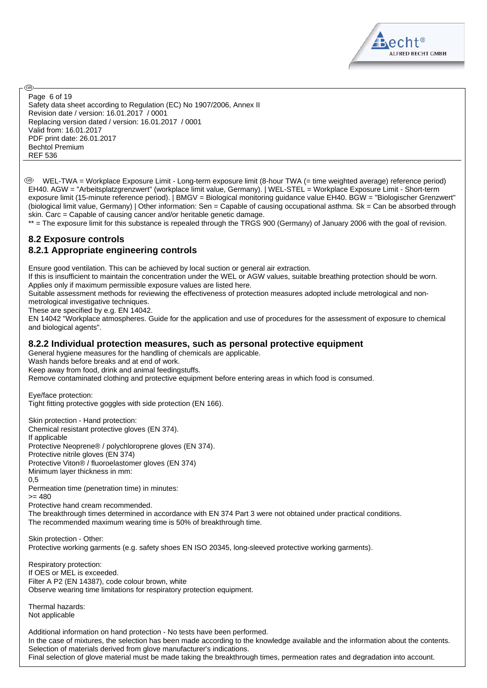$B.6cht$ <sup>®</sup> **ALFRED BECHT GMBH** 

Safety data sheet according to Regulation (EC) No 1907/2006, Annex II Revision date / version: 16.01.2017 / 0001 Replacing version dated / version: 16.01.2017 / 0001 Valid from: 16.01.2017 PDF print date: 26.01.2017 Bechtol Premium REF 536 Page 6 of 19

 WEL-TWA = Workplace Exposure Limit - Long-term exposure limit (8-hour TWA (= time weighted average) reference period) EH40. AGW = "Arbeitsplatzgrenzwert" (workplace limit value, Germany). | WEL-STEL = Workplace Exposure Limit - Short-term exposure limit (15-minute reference period). | BMGV = Biological monitoring guidance value EH40. BGW = "Biologischer Grenzwert" (biological limit value, Germany) | Other information: Sen = Capable of causing occupational asthma. Sk = Can be absorbed through skin. Carc = Capable of causing cancer and/or heritable genetic damage.

\*\* = The exposure limit for this substance is repealed through the TRGS 900 (Germany) of January 2006 with the goal of revision.

#### **8.2 Exposure controls 8.2.1 Appropriate engineering controls**

Ensure good ventilation. This can be achieved by local suction or general air extraction.

If this is insufficient to maintain the concentration under the WEL or AGW values, suitable breathing protection should be worn. Applies only if maximum permissible exposure values are listed here.

Suitable assessment methods for reviewing the effectiveness of protection measures adopted include metrological and non-

metrological investigative techniques. These are specified by e.g. EN 14042.

EN 14042 "Workplace atmospheres. Guide for the application and use of procedures for the assessment of exposure to chemical and biological agents".

#### **8.2.2 Individual protection measures, such as personal protective equipment**

General hygiene measures for the handling of chemicals are applicable.

Wash hands before breaks and at end of work.

Keep away from food, drink and animal feedingstuffs.

Remove contaminated clothing and protective equipment before entering areas in which food is consumed.

Eye/face protection:

Tight fitting protective goggles with side protection (EN 166).

Skin protection - Hand protection: Chemical resistant protective gloves (EN 374). If applicable Protective Neoprene® / polychloroprene gloves (EN 374). Protective nitrile gloves (EN 374) Protective Viton® / fluoroelastomer gloves (EN 374) Minimum layer thickness in mm: 0,5

Permeation time (penetration time) in minutes:

 $= 480$ 

<mark>ි</mark>වෙ

Protective hand cream recommended.

The breakthrough times determined in accordance with EN 374 Part 3 were not obtained under practical conditions. The recommended maximum wearing time is 50% of breakthrough time.

Skin protection - Other: Protective working garments (e.g. safety shoes EN ISO 20345, long-sleeved protective working garments).

Respiratory protection: If OES or MEL is exceeded. Filter A P2 (EN 14387), code colour brown, white Observe wearing time limitations for respiratory protection equipment.

Thermal hazards: Not applicable

Additional information on hand protection - No tests have been performed. In the case of mixtures, the selection has been made according to the knowledge available and the information about the contents. Selection of materials derived from glove manufacturer's indications. Final selection of glove material must be made taking the breakthrough times, permeation rates and degradation into account.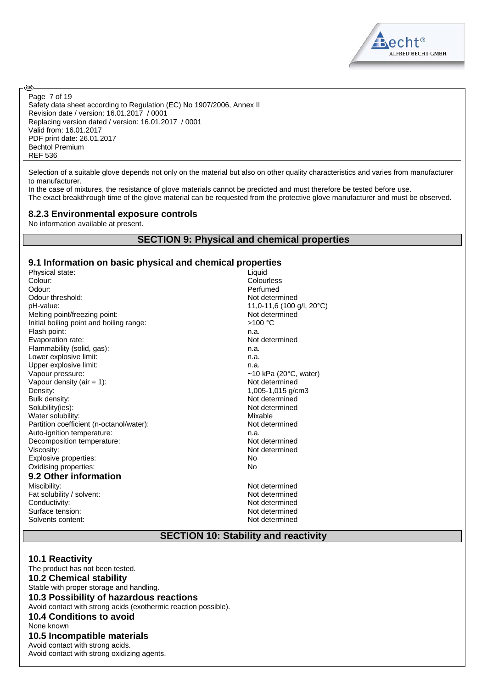

Safety data sheet according to Regulation (EC) No 1907/2006, Annex II Revision date / version: 16.01.2017 / 0001 Replacing version dated / version: 16.01.2017 / 0001 Valid from: 16.01.2017 PDF print date: 26.01.2017 Bechtol Premium REF 536 Page 7 of 19

Selection of a suitable glove depends not only on the material but also on other quality characteristics and varies from manufacturer to manufacturer.

In the case of mixtures, the resistance of glove materials cannot be predicted and must therefore be tested before use. The exact breakthrough time of the glove material can be requested from the protective glove manufacturer and must be observed.

#### **8.2.3 Environmental exposure controls**

No information available at present.

<mark>ි</mark>වෙ

#### **SECTION 9: Physical and chemical properties**

#### **9.1 Information on basic physical and chemical properties**

Physical state: Liquid Colour: Colourless Odour: Perfumed Odour threshold: Not determined pH-value: 11,0-11,6 (100 g/l, 20°C) Melting point/freezing point: Not determined Initial boiling point and boiling range:  $>100 °C$ Flash point: n.a. Evaporation rate: Not determined Flammability (solid, gas): n.a. Lower explosive limit: n.a. Upper explosive limit: n.a. Vapour pressure:  $\sim$ 10 kPa (20°C, water) Vapour density (air = 1): Not determined<br>Density:  $1,005-1,015 \text{ g/c}$ Density: 1,005-1,015 g/cm3<br>Bulk density: 1,005-1,015 g/cm3 Solubility(ies):<br>
Water solubility:<br>
Water solubility:<br>
Water solubility: Water solubility:<br>
Partition coefficient (n-octanol/water):<br>
Partition coefficient (n-octanol/water): Partition coefficient (n-octanol/water): Auto-ignition temperature: n.a. Decomposition temperature: Not determined Viscosity: Not determined Explosive properties: No Oxidising properties: No **9.2 Other information**

Miscibility: Not determined Fat solubility / solvent: Not determined<br>
Conductivity: Not determined<br>
Not determined Surface tension: Not determined Solvents content: Not determined

Not determined

Not determined

#### **SECTION 10: Stability and reactivity**

#### **10.1 Reactivity**

The product has not been tested. **10.2 Chemical stability** Stable with proper storage and handling. **10.3 Possibility of hazardous reactions** Avoid contact with strong acids (exothermic reaction possible). **10.4 Conditions to avoid** None known **10.5 Incompatible materials** Avoid contact with strong acids. Avoid contact with strong oxidizing agents.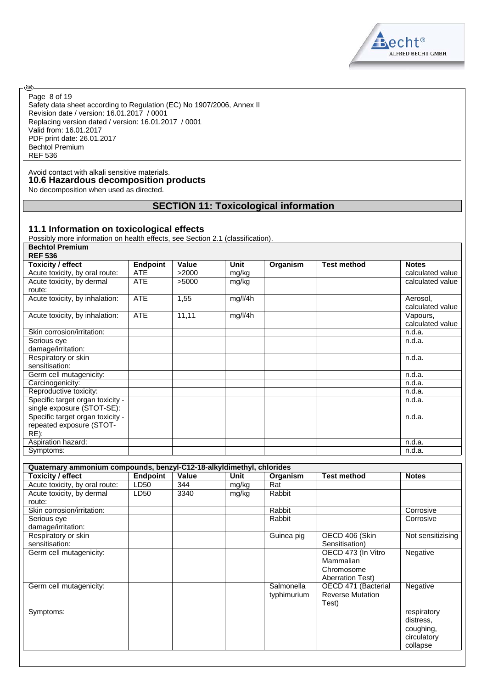Aecht<sup>®</sup> ALFRED BECHT GMBH

Safety data sheet according to Regulation (EC) No 1907/2006, Annex II Revision date / version: 16.01.2017 / 0001 Replacing version dated / version: 16.01.2017 / 0001 Valid from: 16.01.2017 PDF print date: 26.01.2017 Bechtol Premium REF 536 Page 8 of 19

Avoid contact with alkali sensitive materials. **10.6 Hazardous decomposition products** No decomposition when used as directed.

®

# **SECTION 11: Toxicological information**

#### **11.1 Information on toxicological effects**

Possibly more information on health effects, see Section 2.1 (classification). **Bechtol Premium**

| <b>REF 536</b>                   |                 |       |             |          |                    |                  |
|----------------------------------|-----------------|-------|-------------|----------|--------------------|------------------|
| <b>Toxicity / effect</b>         | <b>Endpoint</b> | Value | <b>Unit</b> | Organism | <b>Test method</b> | <b>Notes</b>     |
| Acute toxicity, by oral route:   | <b>ATE</b>      | >2000 | mg/kg       |          |                    | calculated value |
| Acute toxicity, by dermal        | <b>ATE</b>      | >5000 | mg/kg       |          |                    | calculated value |
| route:                           |                 |       |             |          |                    |                  |
| Acute toxicity, by inhalation:   | <b>ATE</b>      | 1,55  | mg/l/4h     |          |                    | Aerosol,         |
|                                  |                 |       |             |          |                    | calculated value |
| Acute toxicity, by inhalation:   | <b>ATE</b>      | 11,11 | mg/l/4h     |          |                    | Vapours,         |
|                                  |                 |       |             |          |                    | calculated value |
| Skin corrosion/irritation:       |                 |       |             |          |                    | n.d.a.           |
| Serious eye                      |                 |       |             |          |                    | n.d.a.           |
| damage/irritation:               |                 |       |             |          |                    |                  |
| Respiratory or skin              |                 |       |             |          |                    | n.d.a.           |
| sensitisation:                   |                 |       |             |          |                    |                  |
| Germ cell mutagenicity:          |                 |       |             |          |                    | n.d.a.           |
| Carcinogenicity:                 |                 |       |             |          |                    | n.d.a.           |
| Reproductive toxicity:           |                 |       |             |          |                    | n.d.a.           |
| Specific target organ toxicity - |                 |       |             |          |                    | n.d.a.           |
| single exposure (STOT-SE):       |                 |       |             |          |                    |                  |
| Specific target organ toxicity - |                 |       |             |          |                    | n.d.a.           |
| repeated exposure (STOT-         |                 |       |             |          |                    |                  |
| $RE)$ :                          |                 |       |             |          |                    |                  |
| Aspiration hazard:               |                 |       |             |          |                    | n.d.a.           |
| Symptoms:                        |                 |       |             |          |                    | n.d.a.           |

| Quaternary ammonium compounds, benzyl-C12-18-alkyldimethyl, chlorides |                 |       |       |                           |                                                                   |                                                                  |
|-----------------------------------------------------------------------|-----------------|-------|-------|---------------------------|-------------------------------------------------------------------|------------------------------------------------------------------|
| <b>Toxicity / effect</b>                                              | <b>Endpoint</b> | Value | Unit  | Organism                  | <b>Test method</b>                                                | <b>Notes</b>                                                     |
| Acute toxicity, by oral route:                                        | LD50            | 344   | mg/kg | Rat                       |                                                                   |                                                                  |
| Acute toxicity, by dermal<br>route:                                   | LD50            | 3340  | mg/kg | Rabbit                    |                                                                   |                                                                  |
| Skin corrosion/irritation:                                            |                 |       |       | Rabbit                    |                                                                   | Corrosive                                                        |
| Serious eye<br>damage/irritation:                                     |                 |       |       | Rabbit                    |                                                                   | Corrosive                                                        |
| Respiratory or skin<br>sensitisation:                                 |                 |       |       | Guinea pig                | OECD 406 (Skin<br>Sensitisation)                                  | Not sensitizising                                                |
| Germ cell mutagenicity:                                               |                 |       |       |                           | OECD 473 (In Vitro<br>Mammalian<br>Chromosome<br>Aberration Test) | Negative                                                         |
| Germ cell mutagenicity:                                               |                 |       |       | Salmonella<br>typhimurium | OECD 471 (Bacterial<br><b>Reverse Mutation</b><br>Test)           | Negative                                                         |
| Symptoms:                                                             |                 |       |       |                           |                                                                   | respiratory<br>distress.<br>coughing,<br>circulatory<br>collapse |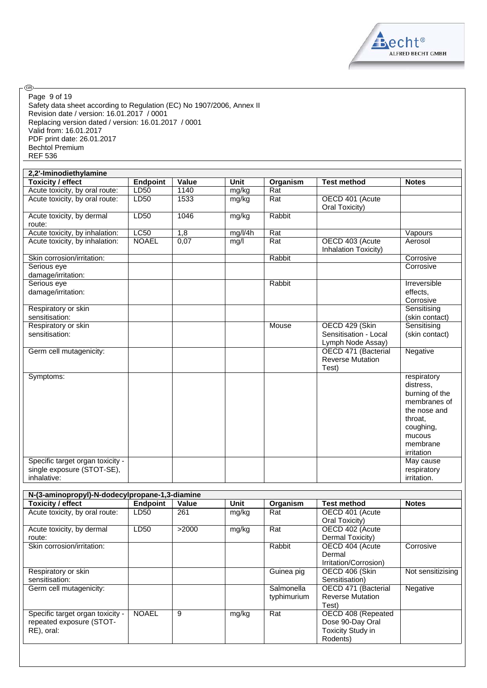

Safety data sheet according to Regulation (EC) No 1907/2006, Annex II Revision date / version: 16.01.2017 / 0001 Replacing version dated / version: 16.01.2017 / 0001 Valid from: 16.01.2017 PDF print date: 26.01.2017 Bechtol Premium REF 536 Page 9 of 19

.®

| 2,2'-Iminodiethylamine                                                        |                 |       |             |          |                                                              |                                                                                                                                        |
|-------------------------------------------------------------------------------|-----------------|-------|-------------|----------|--------------------------------------------------------------|----------------------------------------------------------------------------------------------------------------------------------------|
| <b>Toxicity / effect</b>                                                      | <b>Endpoint</b> | Value | <b>Unit</b> | Organism | <b>Test method</b>                                           | <b>Notes</b>                                                                                                                           |
| Acute toxicity, by oral route:                                                | LD50            | 1140  | mg/kg       | Rat      |                                                              |                                                                                                                                        |
| Acute toxicity, by oral route:                                                | LD50            | 1533  | mg/kg       | Rat      | OECD 401 (Acute<br>Oral Toxicity)                            |                                                                                                                                        |
| Acute toxicity, by dermal<br>route:                                           | LD50            | 1046  | mg/kg       | Rabbit   |                                                              |                                                                                                                                        |
| Acute toxicity, by inhalation:                                                | LC50            | 1,8   | mg/l/4h     | Rat      |                                                              | Vapours                                                                                                                                |
| Acute toxicity, by inhalation:                                                | <b>NOAEL</b>    | 0,07  | mg/l        | Rat      | OECD 403 (Acute<br>Inhalation Toxicity)                      | Aerosol                                                                                                                                |
| Skin corrosion/irritation:                                                    |                 |       |             | Rabbit   |                                                              | Corrosive                                                                                                                              |
| Serious eye<br>damage/irritation:                                             |                 |       |             |          |                                                              | Corrosive                                                                                                                              |
| Serious eye<br>damage/irritation:                                             |                 |       |             | Rabbit   |                                                              | Irreversible<br>effects.<br>Corrosive                                                                                                  |
| Respiratory or skin<br>sensitisation:                                         |                 |       |             |          |                                                              | Sensitising<br>(skin contact)                                                                                                          |
| Respiratory or skin<br>sensitisation:                                         |                 |       |             | Mouse    | OECD 429 (Skin<br>Sensitisation - Local<br>Lymph Node Assay) | Sensitising<br>(skin contact)                                                                                                          |
| Germ cell mutagenicity:                                                       |                 |       |             |          | OECD 471 (Bacterial<br><b>Reverse Mutation</b><br>Test)      | Negative                                                                                                                               |
| Symptoms:                                                                     |                 |       |             |          |                                                              | respiratory<br>distress,<br>burning of the<br>membranes of<br>the nose and<br>throat.<br>coughing,<br>mucous<br>membrane<br>irritation |
| Specific target organ toxicity -<br>single exposure (STOT-SE),<br>inhalative: |                 |       |             |          |                                                              | May cause<br>respiratory<br>irritation.                                                                                                |

| N-(3-aminopropyl)-N-dodecylpropane-1,3-diamine |              |       |       |             |                         |                   |
|------------------------------------------------|--------------|-------|-------|-------------|-------------------------|-------------------|
| <b>Toxicity / effect</b>                       | Endpoint     | Value | Unit  | Organism    | <b>Test method</b>      | <b>Notes</b>      |
| Acute toxicity, by oral route:                 | LD50         | 261   | mg/kg | Rat         | OECD 401 (Acute         |                   |
|                                                |              |       |       |             | Oral Toxicity)          |                   |
| Acute toxicity, by dermal                      | LD50         | >2000 | mg/kg | Rat         | OECD 402 (Acute         |                   |
| route:                                         |              |       |       |             | Dermal Toxicity)        |                   |
| Skin corrosion/irritation:                     |              |       |       | Rabbit      | OECD 404 (Acute         | Corrosive         |
|                                                |              |       |       |             | Dermal                  |                   |
|                                                |              |       |       |             | Irritation/Corrosion)   |                   |
| Respiratory or skin                            |              |       |       | Guinea pig  | OECD 406 (Skin          | Not sensitizising |
| sensitisation:                                 |              |       |       |             | Sensitisation)          |                   |
| Germ cell mutagenicity:                        |              |       |       | Salmonella  | OECD 471 (Bacterial     | Negative          |
|                                                |              |       |       | typhimurium | <b>Reverse Mutation</b> |                   |
|                                                |              |       |       |             | Test)                   |                   |
| Specific target organ toxicity -               | <b>NOAEL</b> | 9     | mg/kg | Rat         | OECD 408 (Repeated      |                   |
| repeated exposure (STOT-                       |              |       |       |             | Dose 90-Day Oral        |                   |
| RE), oral:                                     |              |       |       |             | Toxicity Study in       |                   |
|                                                |              |       |       |             | Rodents)                |                   |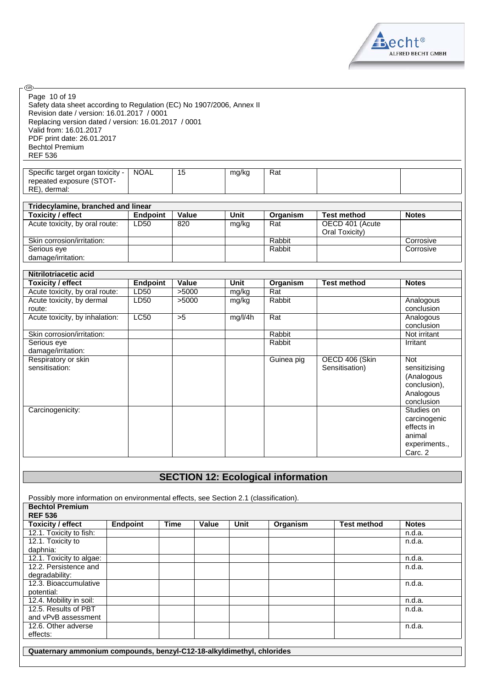

| ை)                                                                                                                                                                                                                                                                                               |                 |                 |             |                 |                                   |                                                                                |
|--------------------------------------------------------------------------------------------------------------------------------------------------------------------------------------------------------------------------------------------------------------------------------------------------|-----------------|-----------------|-------------|-----------------|-----------------------------------|--------------------------------------------------------------------------------|
| Page 10 of 19<br>Safety data sheet according to Regulation (EC) No 1907/2006, Annex II<br>Revision date / version: 16.01.2017 / 0001<br>Replacing version dated / version: 16.01.2017 / 0001<br>Valid from: 16.01.2017<br>PDF print date: 26.01.2017<br><b>Bechtol Premium</b><br><b>REF 536</b> |                 |                 |             |                 |                                   |                                                                                |
| Specific target organ toxicity -<br>repeated exposure (STOT-<br>RE), dermal:                                                                                                                                                                                                                     | <b>NOAL</b>     | $\overline{15}$ | mg/kg       | Rat             |                                   |                                                                                |
| Tridecylamine, branched and linear                                                                                                                                                                                                                                                               |                 |                 |             |                 |                                   |                                                                                |
| <b>Toxicity / effect</b>                                                                                                                                                                                                                                                                         | <b>Endpoint</b> | <b>Value</b>    | <b>Unit</b> | Organism        | <b>Test method</b>                | <b>Notes</b>                                                                   |
| Acute toxicity, by oral route:                                                                                                                                                                                                                                                                   | LD50            | 820             | mg/kg       | Rat             | OECD 401 (Acute<br>Oral Toxicity) |                                                                                |
| Skin corrosion/irritation:                                                                                                                                                                                                                                                                       |                 |                 |             | Rabbit          |                                   | Corrosive                                                                      |
| Serious eye                                                                                                                                                                                                                                                                                      |                 |                 |             | Rabbit          |                                   | Corrosive                                                                      |
| damage/irritation:                                                                                                                                                                                                                                                                               |                 |                 |             |                 |                                   |                                                                                |
|                                                                                                                                                                                                                                                                                                  |                 |                 |             |                 |                                   |                                                                                |
| Nitrilotriacetic acid                                                                                                                                                                                                                                                                            |                 |                 |             |                 |                                   |                                                                                |
| <b>Toxicity / effect</b>                                                                                                                                                                                                                                                                         | <b>Endpoint</b> | Value           | <b>Unit</b> | <b>Organism</b> | <b>Test method</b>                | <b>Notes</b>                                                                   |
| Acute toxicity, by oral route:                                                                                                                                                                                                                                                                   | LD50            | 5000            | mg/kg       | Rat             |                                   |                                                                                |
| Acute toxicity, by dermal<br>route:                                                                                                                                                                                                                                                              | LD50            | 5000            | mg/kg       | Rabbit          |                                   | Analogous<br>conclusion                                                        |
| Acute toxicity, by inhalation:                                                                                                                                                                                                                                                                   | <b>LC50</b>     | >5              | mg/l/4h     | Rat             |                                   | Analogous<br>conclusion                                                        |
| Skin corrosion/irritation:                                                                                                                                                                                                                                                                       |                 |                 |             | Rabbit          |                                   | Not irritant                                                                   |
| Serious eye<br>damage/irritation:                                                                                                                                                                                                                                                                |                 |                 |             | Rabbit          |                                   | Irritant                                                                       |
| Respiratory or skin<br>sensitisation:                                                                                                                                                                                                                                                            |                 |                 |             | Guinea pig      | OECD 406 (Skin<br>Sensitisation)  | Not<br>sensitizising<br>(Analogous<br>conclusion),<br>Analogous<br>conclusion  |
| Carcinogenicity:                                                                                                                                                                                                                                                                                 |                 |                 |             |                 |                                   | Studies on<br>carcinogenic<br>effects in<br>animal<br>experiments.,<br>Carc. 2 |

# **SECTION 12: Ecological information**

Possibly more information on environmental effects, see Section 2.1 (classification).

| <b>Toxicity / effect</b> | <b>Endpoint</b> | <b>Time</b> | Value | <b>Unit</b> | Organism | <b>Test method</b> | <b>Notes</b> |
|--------------------------|-----------------|-------------|-------|-------------|----------|--------------------|--------------|
| 12.1. Toxicity to fish:  |                 |             |       |             |          |                    | n.d.a.       |
| 12.1. Toxicity to        |                 |             |       |             |          |                    | n.d.a.       |
| daphnia:                 |                 |             |       |             |          |                    |              |
| 12.1. Toxicity to algae: |                 |             |       |             |          |                    | n.d.a.       |
| 12.2. Persistence and    |                 |             |       |             |          |                    | n.d.a.       |
| degradability:           |                 |             |       |             |          |                    |              |
| 12.3. Bioaccumulative    |                 |             |       |             |          |                    | n.d.a.       |
| potential:               |                 |             |       |             |          |                    |              |
| 12.4. Mobility in soil:  |                 |             |       |             |          |                    | n.d.a.       |
| 12.5. Results of PBT     |                 |             |       |             |          |                    | n.d.a.       |
| and vPvB assessment      |                 |             |       |             |          |                    |              |
| 12.6. Other adverse      |                 |             |       |             |          |                    | n.d.a.       |
| effects:                 |                 |             |       |             |          |                    |              |

**Quaternary ammonium compounds, benzyl-C12-18-alkyldimethyl, chlorides**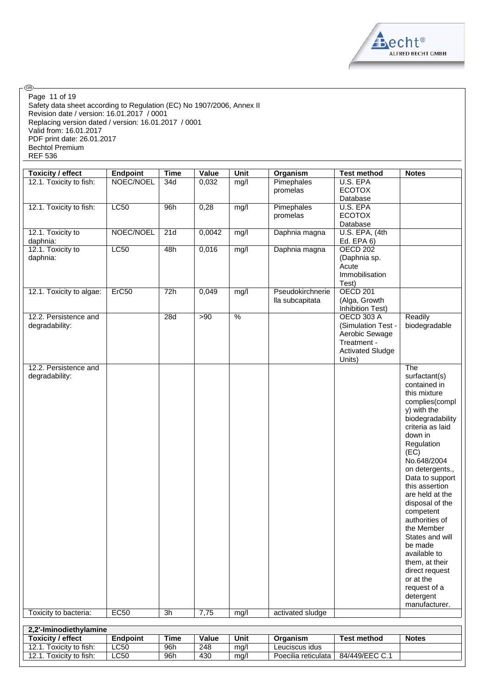

Safety data sheet according to Regulation (EC) No 1907/2006, Annex II Revision date / version: 16.01.2017 / 0001 Replacing version dated / version: 16.01.2017 / 0001 Valid from: 16.01.2017 PDF print date: 26.01.2017 Bechtol Premium REF 536 Page 11 of 19

⊛

| <b>Toxicity / effect</b>                | Endpoint        | <b>Time</b> | Value        | Unit                     | Organism                            | <b>Test method</b>               | <b>Notes</b>               |
|-----------------------------------------|-----------------|-------------|--------------|--------------------------|-------------------------------------|----------------------------------|----------------------------|
| 12.1. Toxicity to fish:                 | NOEC/NOEL       | 34d         | 0,032        | mg/l                     | Pimephales                          | U.S. EPA                         |                            |
|                                         |                 |             |              |                          | promelas                            | <b>ECOTOX</b>                    |                            |
|                                         |                 |             |              |                          |                                     | Database                         |                            |
| 12.1. Toxicity to fish:                 | LC50            | 96h         | 0,28         | mg/l                     | Pimephales                          | U.S. EPA                         |                            |
|                                         |                 |             |              |                          | promelas                            | <b>ECOTOX</b>                    |                            |
| 12.1. Toxicity to                       | NOEC/NOEL       | 21d         | 0,0042       | mg/l                     | Daphnia magna                       | Database<br>U.S. EPA, (4th       |                            |
| daphnia:                                |                 |             |              |                          |                                     | Ed. EPA 6)                       |                            |
| 12.1. Toxicity to                       | <b>LC50</b>     | 48h         | 0,016        | mg/l                     | Daphnia magna                       | <b>OECD 202</b>                  |                            |
| daphnia:                                |                 |             |              |                          |                                     | (Daphnia sp.                     |                            |
|                                         |                 |             |              |                          |                                     | Acute                            |                            |
|                                         |                 |             |              |                          |                                     | Immobilisation                   |                            |
|                                         |                 |             |              |                          |                                     | Test)                            |                            |
| 12.1. Toxicity to algae:                | Erc50           | 72h         | 0,049        | mg/l                     | Pseudokirchnerie<br>lla subcapitata | <b>OECD 201</b><br>(Alga, Growth |                            |
|                                         |                 |             |              |                          |                                     | Inhibition Test)                 |                            |
| 12.2. Persistence and                   |                 | 28d         | >90          | $\overline{\frac{9}{6}}$ |                                     | <b>OECD 303 A</b>                | Readily                    |
| degradability:                          |                 |             |              |                          |                                     | (Simulation Test -               | biodegradable              |
|                                         |                 |             |              |                          |                                     | Aerobic Sewage                   |                            |
|                                         |                 |             |              |                          |                                     | Treatment -                      |                            |
|                                         |                 |             |              |                          |                                     | <b>Activated Sludge</b>          |                            |
|                                         |                 |             |              |                          |                                     | Units)                           |                            |
| 12.2. Persistence and<br>degradability: |                 |             |              |                          |                                     |                                  | The<br>surfactant(s)       |
|                                         |                 |             |              |                          |                                     |                                  | contained in               |
|                                         |                 |             |              |                          |                                     |                                  | this mixture               |
|                                         |                 |             |              |                          |                                     |                                  | complies(compl             |
|                                         |                 |             |              |                          |                                     |                                  | y) with the                |
|                                         |                 |             |              |                          |                                     |                                  | biodegradability           |
|                                         |                 |             |              |                          |                                     |                                  | criteria as laid           |
|                                         |                 |             |              |                          |                                     |                                  | down in                    |
|                                         |                 |             |              |                          |                                     |                                  | Regulation<br>(EC)         |
|                                         |                 |             |              |                          |                                     |                                  | No.648/2004                |
|                                         |                 |             |              |                          |                                     |                                  | on detergents.,            |
|                                         |                 |             |              |                          |                                     |                                  | Data to support            |
|                                         |                 |             |              |                          |                                     |                                  | this assertion             |
|                                         |                 |             |              |                          |                                     |                                  | are held at the            |
|                                         |                 |             |              |                          |                                     |                                  | disposal of the            |
|                                         |                 |             |              |                          |                                     |                                  | competent                  |
|                                         |                 |             |              |                          |                                     |                                  | authorities of             |
|                                         |                 |             |              |                          |                                     |                                  | the Member                 |
|                                         |                 |             |              |                          |                                     |                                  | States and will<br>be made |
|                                         |                 |             |              |                          |                                     |                                  | available to               |
|                                         |                 |             |              |                          |                                     |                                  | them, at their             |
|                                         |                 |             |              |                          |                                     |                                  | direct request             |
|                                         |                 |             |              |                          |                                     |                                  | or at the                  |
|                                         |                 |             |              |                          |                                     |                                  | request of a               |
|                                         |                 |             |              |                          |                                     |                                  | detergent                  |
|                                         | <b>EC50</b>     | 3h          |              |                          |                                     |                                  | manufacturer.              |
| Toxicity to bacteria:                   |                 |             | 7,75         | mg/l                     | activated sludge                    |                                  |                            |
| 2,2'-Iminodiethylamine                  |                 |             |              |                          |                                     |                                  |                            |
| <b>Toxicity / effect</b>                | <b>Endpoint</b> | <b>Time</b> | <b>Value</b> | Unit                     | Organism                            | <b>Test method</b>               | <b>Notes</b>               |
| 12.1. Toxicity to fish:                 | LC50            | 96h         | 248          | mg/l                     | Leuciscus idus                      |                                  |                            |
| 12.1. Toxicity to fish:                 | LC50            | 96h         | 430          | mg/l                     | Poecilia reticulata                 | 84/449/EEC C.1                   |                            |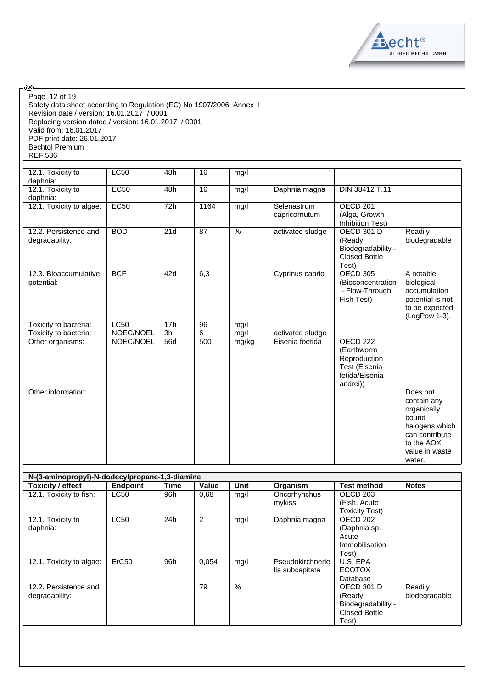

Safety data sheet according to Regulation (EC) No 1907/2006, Annex II Revision date / version: 16.01.2017 / 0001 Replacing version dated / version: 16.01.2017 / 0001 Valid from: 16.01.2017 PDF print date: 26.01.2017 Bechtol Premium REF 536 Page 12 of 19

்

| 12.1. Toxicity to<br>daphnia:           | <b>LC50</b> | 48h             | 16   | mg/l  |                              |                                                                                                  |                                                                                                                               |
|-----------------------------------------|-------------|-----------------|------|-------|------------------------------|--------------------------------------------------------------------------------------------------|-------------------------------------------------------------------------------------------------------------------------------|
| 12.1. Toxicity to<br>daphnia:           | EC50        | 48h             | 16   | mg/l  | Daphnia magna                | DIN 38412 T.11                                                                                   |                                                                                                                               |
| 12.1. Toxicity to algae:                | EC50        | 72h             | 1164 | mg/l  | Selenastrum<br>capricornutum | OECD <sub>201</sub><br>(Alga, Growth<br>Inhibition Test)                                         |                                                                                                                               |
| 12.2. Persistence and<br>degradability: | <b>BOD</b>  | 21d             | 87   | $\%$  | activated sludge             | <b>OECD 301 D</b><br>(Ready<br>Biodegradability -<br><b>Closed Bottle</b><br>Test)               | Readily<br>biodegradable                                                                                                      |
| 12.3. Bioaccumulative<br>potential:     | <b>BCF</b>  | 42d             | 6,3  |       | Cyprinus caprio              | <b>OECD 305</b><br>(Bioconcentration<br>- Flow-Through<br>Fish Test)                             | A notable<br>biological<br>accumulation<br>potential is not<br>to be expected<br>(LogPow 1-3).                                |
| Toxicity to bacteria:                   | LC50        | 17h             | 96   | mg/l  |                              |                                                                                                  |                                                                                                                               |
| Toxicity to bacteria:                   | NOEC/NOEL   | $\overline{3h}$ | 6    | mg/l  | activated sludge             |                                                                                                  |                                                                                                                               |
| Other organisms:                        | NOEC/NOEL   | 56d             | 500  | mg/kg | Eisenia foetida              | OECD <sub>222</sub><br>(Earthworm<br>Reproduction<br>Test (Eisenia<br>fetida/Eisenia<br>andrei)) |                                                                                                                               |
| Other information:                      |             |                 |      |       |                              |                                                                                                  | Does not<br>contain any<br>organically<br>bound<br>halogens which<br>can contribute<br>to the AOX<br>value in waste<br>water. |

| N-(3-aminopropyl)-N-dodecylpropane-1,3-diamine |                   |      |                |      |                  |                       |               |
|------------------------------------------------|-------------------|------|----------------|------|------------------|-----------------------|---------------|
| <b>Toxicity / effect</b>                       | Endpoint          | Time | Value          | Unit | Organism         | <b>Test method</b>    | <b>Notes</b>  |
| 12.1. Toxicity to fish:                        | <b>LC50</b>       | 96h  | 0,68           | mq/l | Oncorhynchus     | OECD <sub>203</sub>   |               |
|                                                |                   |      |                |      | mykiss           | (Fish, Acute)         |               |
|                                                |                   |      |                |      |                  | <b>Toxicity Test)</b> |               |
| 12.1. Toxicity to                              | <b>LC50</b>       | 24h  | $\overline{2}$ | mg/l | Daphnia magna    | OECD 202              |               |
| daphnia:                                       |                   |      |                |      |                  | (Daphnia sp.          |               |
|                                                |                   |      |                |      |                  | Acute                 |               |
|                                                |                   |      |                |      |                  | Immobilisation        |               |
|                                                |                   |      |                |      |                  | Test)                 |               |
| 12.1. Toxicity to algae:                       | ErC <sub>50</sub> | 96h  | 0.054          | mg/l | Pseudokirchnerie | U.S. EPA              |               |
|                                                |                   |      |                |      | lla subcapitata  | <b>ECOTOX</b>         |               |
|                                                |                   |      |                |      |                  | Database              |               |
| 12.2. Persistence and                          |                   |      | 79             | %    |                  | <b>OECD 301 D</b>     | Readily       |
| degradability:                                 |                   |      |                |      |                  | (Ready                | biodegradable |
|                                                |                   |      |                |      |                  | Biodegradability -    |               |
|                                                |                   |      |                |      |                  | <b>Closed Bottle</b>  |               |
|                                                |                   |      |                |      |                  | Test)                 |               |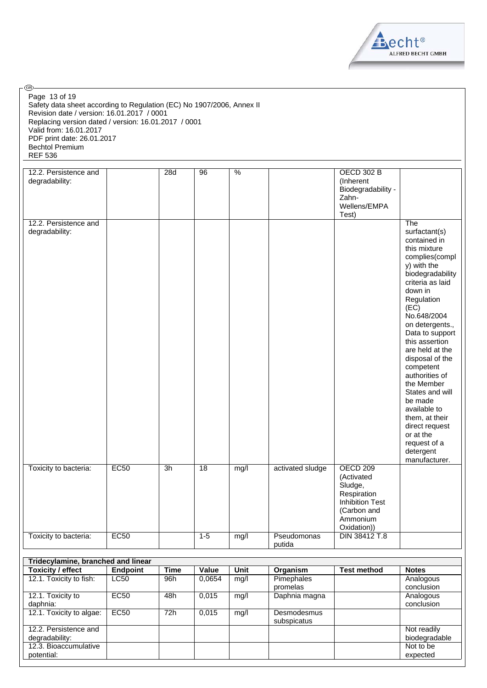

| @ි.                                                                                                                                                                                                                                                                                              |                 |             |         |             |                            |                                                                                                                             |                                                                                                                                                                                                                                                                                                                                                                                                                                                                |
|--------------------------------------------------------------------------------------------------------------------------------------------------------------------------------------------------------------------------------------------------------------------------------------------------|-----------------|-------------|---------|-------------|----------------------------|-----------------------------------------------------------------------------------------------------------------------------|----------------------------------------------------------------------------------------------------------------------------------------------------------------------------------------------------------------------------------------------------------------------------------------------------------------------------------------------------------------------------------------------------------------------------------------------------------------|
| Page 13 of 19<br>Safety data sheet according to Regulation (EC) No 1907/2006, Annex II<br>Revision date / version: 16.01.2017 / 0001<br>Replacing version dated / version: 16.01.2017 / 0001<br>Valid from: 16.01.2017<br>PDF print date: 26.01.2017<br><b>Bechtol Premium</b><br><b>REF 536</b> |                 |             |         |             |                            |                                                                                                                             |                                                                                                                                                                                                                                                                                                                                                                                                                                                                |
|                                                                                                                                                                                                                                                                                                  |                 |             |         |             |                            |                                                                                                                             |                                                                                                                                                                                                                                                                                                                                                                                                                                                                |
| 12.2. Persistence and<br>degradability:                                                                                                                                                                                                                                                          |                 | 28d         | 96      | %           |                            | <b>OECD 302 B</b><br>(Inherent<br>Biodegradability -<br>Zahn-<br>Wellens/EMPA<br>Test)                                      |                                                                                                                                                                                                                                                                                                                                                                                                                                                                |
| 12.2. Persistence and                                                                                                                                                                                                                                                                            |                 |             |         |             |                            |                                                                                                                             | The                                                                                                                                                                                                                                                                                                                                                                                                                                                            |
| degradability:                                                                                                                                                                                                                                                                                   |                 |             |         |             |                            |                                                                                                                             | surfactant(s)<br>contained in<br>this mixture<br>complies(compl<br>y) with the<br>biodegradability<br>criteria as laid<br>down in<br>Regulation<br>(EC)<br>No.648/2004<br>on detergents.,<br>Data to support<br>this assertion<br>are held at the<br>disposal of the<br>competent<br>authorities of<br>the Member<br>States and will<br>be made<br>available to<br>them, at their<br>direct request<br>or at the<br>request of a<br>detergent<br>manufacturer. |
| Toxicity to bacteria:                                                                                                                                                                                                                                                                            | EC50            | 3h          | 18      | mg/l        | activated sludge           | <b>OECD 209</b><br>(Activated<br>Sludge,<br>Respiration<br><b>Inhibition Test</b><br>(Carbon and<br>Ammonium<br>Oxidation)) |                                                                                                                                                                                                                                                                                                                                                                                                                                                                |
| Toxicity to bacteria:                                                                                                                                                                                                                                                                            | EC50            |             | $1 - 5$ | mg/l        | Pseudomonas<br>putida      | DIN 38412 T.8                                                                                                               |                                                                                                                                                                                                                                                                                                                                                                                                                                                                |
|                                                                                                                                                                                                                                                                                                  |                 |             |         |             |                            |                                                                                                                             |                                                                                                                                                                                                                                                                                                                                                                                                                                                                |
| Tridecylamine, branched and linear<br><b>Toxicity / effect</b>                                                                                                                                                                                                                                   | <b>Endpoint</b> | <b>Time</b> | Value   | <b>Unit</b> | Organism                   | <b>Test method</b>                                                                                                          | <b>Notes</b>                                                                                                                                                                                                                                                                                                                                                                                                                                                   |
| 12.1. Toxicity to fish:                                                                                                                                                                                                                                                                          | <b>LC50</b>     | 96h         | 0,0654  | mg/l        | Pimephales<br>promelas     |                                                                                                                             | Analogous<br>conclusion                                                                                                                                                                                                                                                                                                                                                                                                                                        |
| 12.1. Toxicity to<br>daphnia:                                                                                                                                                                                                                                                                    | EC50            | 48h         | 0,015   | mg/l        | Daphnia magna              |                                                                                                                             | Analogous<br>conclusion                                                                                                                                                                                                                                                                                                                                                                                                                                        |
| 12.1. Toxicity to algae:                                                                                                                                                                                                                                                                         | EC50            | 72h         | 0,015   | mg/l        | Desmodesmus<br>subspicatus |                                                                                                                             |                                                                                                                                                                                                                                                                                                                                                                                                                                                                |
| 12.2. Persistence and                                                                                                                                                                                                                                                                            |                 |             |         |             |                            |                                                                                                                             | Not readily                                                                                                                                                                                                                                                                                                                                                                                                                                                    |
| degradability:                                                                                                                                                                                                                                                                                   |                 |             |         |             |                            |                                                                                                                             | biodegradable                                                                                                                                                                                                                                                                                                                                                                                                                                                  |
| 12.3. Bioaccumulative<br>potential:                                                                                                                                                                                                                                                              |                 |             |         |             |                            |                                                                                                                             | Not to be<br>expected                                                                                                                                                                                                                                                                                                                                                                                                                                          |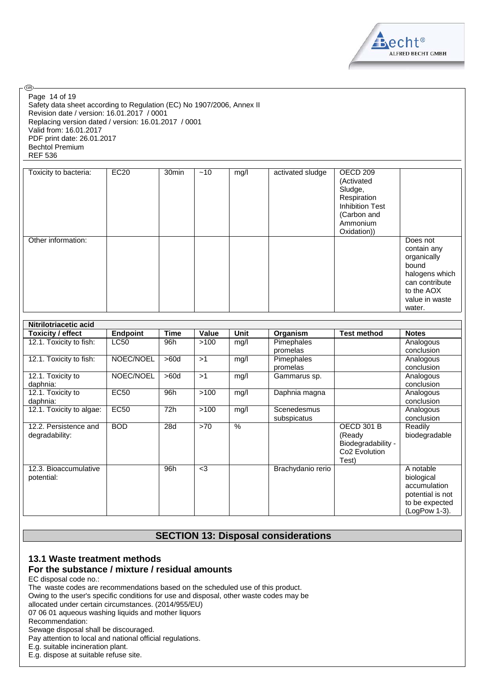

Safety data sheet according to Regulation (EC) No 1907/2006, Annex II Revision date / version: 16.01.2017 / 0001 Replacing version dated / version: 16.01.2017 / 0001 Valid from: 16.01.2017 PDF print date: 26.01.2017 Bechtol Premium REF 536 Page 14 of 19

®

| Toxicity to bacteria: | EC20 | 30 <sub>min</sub> | ~10 | mg/l | activated sludge | OECD 209<br>(Activated<br>Sludge,<br>Respiration<br><b>Inhibition Test</b><br>(Carbon and<br>Ammonium<br>Oxidation)) |                                                                                                                               |
|-----------------------|------|-------------------|-----|------|------------------|----------------------------------------------------------------------------------------------------------------------|-------------------------------------------------------------------------------------------------------------------------------|
| Other information:    |      |                   |     |      |                  |                                                                                                                      | Does not<br>contain any<br>organically<br>bound<br>halogens which<br>can contribute<br>to the AOX<br>value in waste<br>water. |

| Nitrilotriacetic acid    |                 |             |       |      |                   |                           |                  |
|--------------------------|-----------------|-------------|-------|------|-------------------|---------------------------|------------------|
| <b>Toxicity / effect</b> | <b>Endpoint</b> | <b>Time</b> | Value | Unit | Organism          | <b>Test method</b>        | <b>Notes</b>     |
| 12.1. Toxicity to fish:  | <b>LC50</b>     | 96h         | >100  | mg/l | Pimephales        |                           | Analogous        |
|                          |                 |             |       |      | promelas          |                           | conclusion       |
| 12.1. Toxicity to fish:  | NOEC/NOEL       | >60d        | >1    | mg/l | Pimephales        |                           | Analogous        |
|                          |                 |             |       |      | promelas          |                           | conclusion       |
| 12.1. Toxicity to        | NOEC/NOEL       | >60d        | >1    | mg/l | Gammarus sp.      |                           | Analogous        |
| daphnia:                 |                 |             |       |      |                   |                           | conclusion       |
| 12.1. Toxicity to        | <b>EC50</b>     | 96h         | >100  | mg/l | Daphnia magna     |                           | Analogous        |
| daphnia:                 |                 |             |       |      |                   |                           | conclusion       |
| 12.1. Toxicity to algae: | <b>EC50</b>     | 72h         | >100  | mg/l | Scenedesmus       |                           | Analogous        |
|                          |                 |             |       |      | subspicatus       |                           | conclusion       |
| 12.2. Persistence and    | <b>BOD</b>      | 28d         | >70   | $\%$ |                   | <b>OECD 301 B</b>         | Readily          |
| degradability:           |                 |             |       |      |                   | (Ready                    | biodegradable    |
|                          |                 |             |       |      |                   | Biodegradability -        |                  |
|                          |                 |             |       |      |                   | Co <sub>2</sub> Evolution |                  |
|                          |                 |             |       |      |                   | Test)                     |                  |
| 12.3. Bioaccumulative    |                 | 96h         | $3$   |      | Brachydanio rerio |                           | A notable        |
| potential:               |                 |             |       |      |                   |                           | biological       |
|                          |                 |             |       |      |                   |                           | accumulation     |
|                          |                 |             |       |      |                   |                           | potential is not |
|                          |                 |             |       |      |                   |                           | to be expected   |
|                          |                 |             |       |      |                   |                           | (LogPow 1-3).    |

# **SECTION 13: Disposal considerations**

# **13.1 Waste treatment methods**

### **For the substance / mixture / residual amounts**

EC disposal code no.:

The waste codes are recommendations based on the scheduled use of this product.

Owing to the user's specific conditions for use and disposal, other waste codes may be

allocated under certain circumstances. (2014/955/EU)

07 06 01 aqueous washing liquids and mother liquors

Recommendation:

Sewage disposal shall be discouraged.

Pay attention to local and national official regulations.

E.g. suitable incineration plant.

E.g. dispose at suitable refuse site.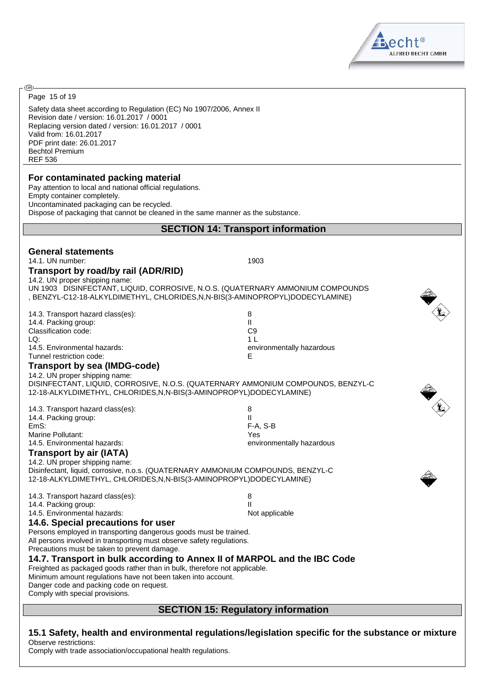

Page 15 of 19

ඹ

Safety data sheet according to Regulation (EC) No 1907/2006, Annex II Revision date / version: 16.01.2017 / 0001 Replacing version dated / version: 16.01.2017 / 0001 Valid from: 16.01.2017 PDF print date: 26.01.2017 Bechtol Premium REF 536

#### **For contaminated packing material**

Pay attention to local and national official regulations. Empty container completely. Uncontaminated packaging can be recycled. Dispose of packaging that cannot be cleaned in the same manner as the substance.

#### **SECTION 14: Transport information**

| <b>General statements</b><br>14.1. UN number:<br>Transport by road/by rail (ADR/RID)<br>14.2. UN proper shipping name:<br>UN 1903 DISINFECTANT, LIQUID, CORROSIVE, N.O.S. (QUATERNARY AMMONIUM COMPOUNDS<br>, BENZYL-C12-18-ALKYLDIMETHYL, CHLORIDES,N,N-BIS(3-AMINOPROPYL)DODECYLAMINE)                                                                                                                                                                                                                                                                                                                                               | 1903                                                                                    |
|----------------------------------------------------------------------------------------------------------------------------------------------------------------------------------------------------------------------------------------------------------------------------------------------------------------------------------------------------------------------------------------------------------------------------------------------------------------------------------------------------------------------------------------------------------------------------------------------------------------------------------------|-----------------------------------------------------------------------------------------|
| 14.3. Transport hazard class(es):<br>14.4. Packing group:<br>Classification code:<br>LQ:<br>14.5. Environmental hazards:<br>Tunnel restriction code:<br>Transport by sea (IMDG-code)<br>14.2. UN proper shipping name:<br>DISINFECTANT, LIQUID, CORROSIVE, N.O.S. (QUATERNARY AMMONIUM COMPOUNDS, BENZYL-C<br>12-18-ALKYLDIMETHYL, CHLORIDES, N, N-BIS(3-AMINOPROPYL) DODECYLAMINE)                                                                                                                                                                                                                                                    | 8<br>$\mathbf{H}$<br>C <sub>9</sub><br>1 <sup>1</sup><br>environmentally hazardous<br>Е |
| 14.3. Transport hazard class(es):<br>14.4. Packing group:<br>EmS:<br>Marine Pollutant:<br>14.5. Environmental hazards:<br><b>Transport by air (IATA)</b><br>14.2. UN proper shipping name:<br>Disinfectant, liquid, corrosive, n.o.s. (QUATERNARY AMMONIUM COMPOUNDS, BENZYL-C<br>12-18-ALKYLDIMETHYL, CHLORIDES, N, N-BIS(3-AMINOPROPYL) DODECYLAMINE)                                                                                                                                                                                                                                                                                | 8<br>$\mathbf{H}$<br>F-A, S-B<br>Yes<br>environmentally hazardous                       |
| 14.3. Transport hazard class(es):<br>14.4. Packing group:<br>14.5. Environmental hazards:<br>14.6. Special precautions for user<br>Persons employed in transporting dangerous goods must be trained.<br>All persons involved in transporting must observe safety regulations.<br>Precautions must be taken to prevent damage.<br>14.7. Transport in bulk according to Annex II of MARPOL and the IBC Code<br>Freighted as packaged goods rather than in bulk, therefore not applicable.<br>Minimum amount regulations have not been taken into account.<br>Danger code and packing code on request.<br>Comply with special provisions. | 8<br>$\mathbf{I}$<br>Not applicable                                                     |
|                                                                                                                                                                                                                                                                                                                                                                                                                                                                                                                                                                                                                                        | <b>SECTION 15: Regulatory information</b>                                               |

**15.1 Safety, health and environmental regulations/legislation specific for the substance or mixture** Observe restrictions:

Comply with trade association/occupational health regulations.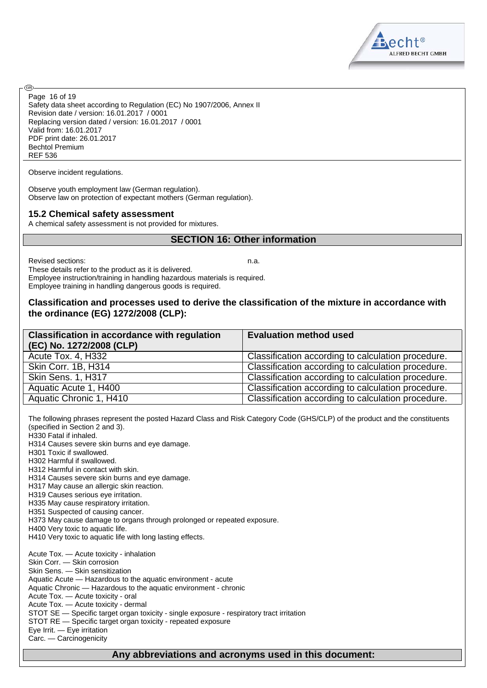Safety data sheet according to Regulation (EC) No 1907/2006, Annex II Revision date / version: 16.01.2017 / 0001 Replacing version dated / version: 16.01.2017 / 0001 Valid from: 16.01.2017 PDF print date: 26.01.2017 Bechtol Premium REF 536 Page 16 of 19

Observe incident regulations.

Observe youth employment law (German regulation). Observe law on protection of expectant mothers (German regulation).

#### **15.2 Chemical safety assessment**

A chemical safety assessment is not provided for mixtures.

#### **SECTION 16: Other information**

Revised sections: n.a.

<mark>ි</mark>වෙ

These details refer to the product as it is delivered. Employee instruction/training in handling hazardous materials is required. Employee training in handling dangerous goods is required.

#### **Classification and processes used to derive the classification of the mixture in accordance with the ordinance (EG) 1272/2008 (CLP):**

| <b>Classification in accordance with regulation</b><br>(EC) No. 1272/2008 (CLP) | <b>Evaluation method used</b>                      |
|---------------------------------------------------------------------------------|----------------------------------------------------|
| Acute Tox. 4, H332                                                              | Classification according to calculation procedure. |
| Skin Corr. 1B, H314                                                             | Classification according to calculation procedure. |
| Skin Sens. 1, H317                                                              | Classification according to calculation procedure. |
| Aquatic Acute 1, H400                                                           | Classification according to calculation procedure. |
| Aquatic Chronic 1, H410                                                         | Classification according to calculation procedure. |

The following phrases represent the posted Hazard Class and Risk Category Code (GHS/CLP) of the product and the constituents (specified in Section 2 and 3). H330 Fatal if inhaled. H314 Causes severe skin burns and eye damage. H301 Toxic if swallowed. H302 Harmful if swallowed. H312 Harmful in contact with skin. H314 Causes severe skin burns and eye damage. H317 May cause an allergic skin reaction. H319 Causes serious eye irritation. H335 May cause respiratory irritation. H351 Suspected of causing cancer. H373 May cause damage to organs through prolonged or repeated exposure. H400 Very toxic to aquatic life. H410 Very toxic to aquatic life with long lasting effects. Acute Tox. — Acute toxicity - inhalation Skin Corr. — Skin corrosion Skin Sens. — Skin sensitization Aquatic Acute — Hazardous to the aquatic environment - acute Aquatic Chronic — Hazardous to the aquatic environment - chronic Acute Tox. — Acute toxicity - oral Acute Tox. — Acute toxicity - dermal STOT SE — Specific target organ toxicity - single exposure - respiratory tract irritation STOT RE — Specific target organ toxicity - repeated exposure Eye Irrit. — Eye irritation Carc. — Carcinogenicity



#### **Any abbreviations and acronyms used in this document:**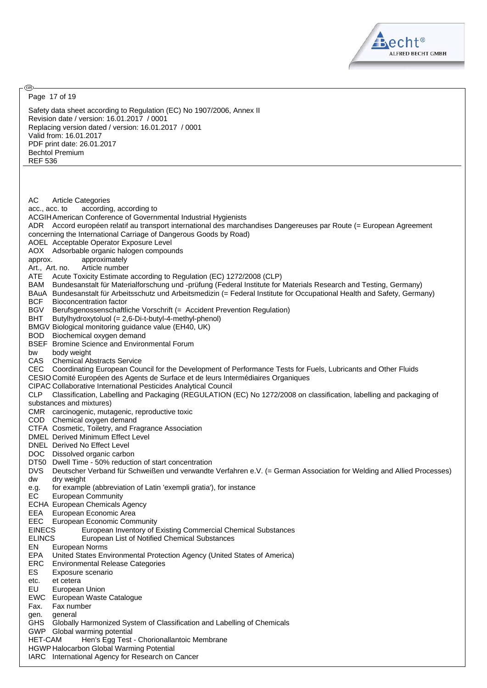

Safety data sheet according to Regulation (EC) No 1907/2006, Annex II Revision date / version: 16.01.2017 / 0001 Replacing version dated / version: 16.01.2017 / 0001 Valid from: 16.01.2017 PDF print date: 26.01.2017 Bechtol Premium REF 536 AC Article Categories acc., acc. to according, according to ACGIHAmerican Conference of Governmental Industrial Hygienists ADR Accord européen relatif au transport international des marchandises Dangereuses par Route (= European Agreement concerning the International Carriage of Dangerous Goods by Road) AOEL Acceptable Operator Exposure Level AOX Adsorbable organic halogen compounds approx. approximately Art., Art. no. Article number ATE Acute Toxicity Estimate according to Regulation (EC) 1272/2008 (CLP) BAM Bundesanstalt für Materialforschung und -prüfung (Federal Institute for Materials Research and Testing, Germany) BAuA Bundesanstalt für Arbeitsschutz und Arbeitsmedizin (= Federal Institute for Occupational Health and Safety, Germany) BCF Bioconcentration factor BGV Berufsgenossenschaftliche Vorschrift (= Accident Prevention Regulation) BHT Butylhydroxytoluol (= 2,6-Di-t-butyl-4-methyl-phenol) BMGV Biological monitoring guidance value (EH40, UK) BOD Biochemical oxygen demand BSEF Bromine Science and Environmental Forum bw body weight CAS Chemical Abstracts Service CEC Coordinating European Council for the Development of Performance Tests for Fuels, Lubricants and Other Fluids CESIO Comité Européen des Agents de Surface et de leurs Intermédiaires Organiques CIPAC Collaborative International Pesticides Analytical Council CLP Classification, Labelling and Packaging (REGULATION (EC) No 1272/2008 on classification, labelling and packaging of substances and mixtures) CMR carcinogenic, mutagenic, reproductive toxic COD Chemical oxygen demand CTFA Cosmetic, Toiletry, and Fragrance Association DMEL Derived Minimum Effect Level DNEL Derived No Effect Level DOC Dissolved organic carbon DT50 Dwell Time - 50% reduction of start concentration DVS Deutscher Verband für Schweißen und verwandte Verfahren e.V. (= German Association for Welding and Allied Processes) dw dry weight e.g. for example (abbreviation of Latin 'exempli gratia'), for instance EC European Community ECHA European Chemicals Agency EEA European Economic Area EEC European Economic Community<br>EINECS European Inventory of E European Inventory of Existing Commercial Chemical Substances ELINCS European List of Notified Chemical Substances EN European Norms EPA United States Environmental Protection Agency (United States of America) ERC Environmental Release Categories ES Exposure scenario etc. et cetera EU European Union EWC European Waste Catalogue Fax. Fax number gen. general GHS Globally Harmonized System of Classification and Labelling of Chemicals GWP Global warming potential HET-CAM Hen's Egg Test - Chorionallantoic Membrane HGWP Halocarbon Global Warming Potential IARC International Agency for Research on Cancer Page 17 of 19

<mark>ි</mark>වෙ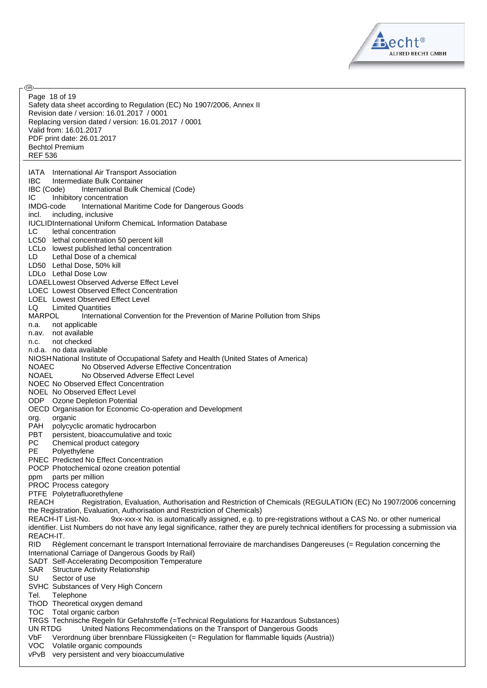

Safety data sheet according to Regulation (EC) No 1907/2006, Annex II Revision date / version: 16.01.2017 / 0001 Replacing version dated / version: 16.01.2017 / 0001 Valid from: 16.01.2017 PDF print date: 26.01.2017 Bechtol Premium REF 536 IATA International Air Transport Association IBC Intermediate Bulk Container<br>IBC (Code) International Bulk C International Bulk Chemical (Code) IC Inhibitory concentration<br>IMDG-code International M International Maritime Code for Dangerous Goods incl. including, inclusive IUCLIDInternational Uniform ChemicaL Information Database LC lethal concentration LC50 lethal concentration 50 percent kill LCLo lowest published lethal concentration LD Lethal Dose of a chemical LD50 Lethal Dose, 50% kill LDLo Lethal Dose Low LOAELLowest Observed Adverse Effect Level LOEC Lowest Observed Effect Concentration LOEL Lowest Observed Effect Level LQ Limited Quantities MARPOL International Convention for the Prevention of Marine Pollution from Ships n.a. not applicable n.av. not available n.c. not checked n.d.a. no data available NIOSHNational Institute of Occupational Safety and Health (United States of America) NOAEC No Observed Adverse Effective Concentration NOAEL No Observed Adverse Effect Level NOEC No Observed Effect Concentration NOEL No Observed Effect Level ODP Ozone Depletion Potential OECD Organisation for Economic Co-operation and Development org. organic PAH polycyclic aromatic hydrocarbon PBT persistent, bioaccumulative and toxic PC Chemical product category PE Polyethylene PNEC Predicted No Effect Concentration POCP Photochemical ozone creation potential ppm parts per million PROC Process category PTFE Polytetrafluorethylene REACH Registration, Evaluation, Authorisation and Restriction of Chemicals (REGULATION (EC) No 1907/2006 concerning the Registration, Evaluation, Authorisation and Restriction of Chemicals) REACH-IT List-No. 9xx-xxx-x No. is automatically assigned, e.g. to pre-registrations without a CAS No. or other numerical identifier. List Numbers do not have any legal significance, rather they are purely technical identifiers for processing a submission via REACH-IT. RID Règlement concernant le transport International ferroviaire de marchandises Dangereuses (= Regulation concerning the International Carriage of Dangerous Goods by Rail) SADT Self-Accelerating Decomposition Temperature SAR Structure Activity Relationship SU Sector of use SVHC Substances of Very High Concern Tel. Telephone ThOD Theoretical oxygen demand TOC Total organic carbon TRGS Technische Regeln für Gefahrstoffe (=Technical Regulations for Hazardous Substances) United Nations Recommendations on the Transport of Dangerous Goods VbF Verordnung über brennbare Flüssigkeiten (= Regulation for flammable liquids (Austria)) VOC Volatile organic compounds vPvB very persistent and very bioaccumulative Page 18 of 19

<mark>ි</mark>වෙ